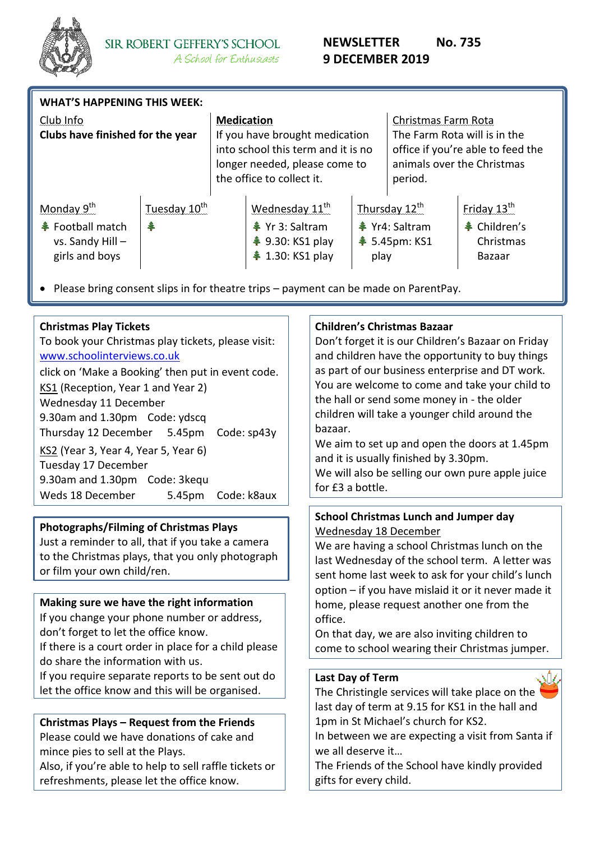

| <b>WHAT'S HAPPENING THIS WEEK:</b>                                                          |                               |                                                                                                                                                         |                                                                                                                                                                                                                               |      |                                                                                                                                   |                                                                       |  |  |
|---------------------------------------------------------------------------------------------|-------------------------------|---------------------------------------------------------------------------------------------------------------------------------------------------------|-------------------------------------------------------------------------------------------------------------------------------------------------------------------------------------------------------------------------------|------|-----------------------------------------------------------------------------------------------------------------------------------|-----------------------------------------------------------------------|--|--|
| Club Info<br>Clubs have finished for the year                                               |                               | <b>Medication</b><br>If you have brought medication<br>into school this term and it is no<br>longer needed, please come to<br>the office to collect it. |                                                                                                                                                                                                                               |      | Christmas Farm Rota<br>The Farm Rota will is in the<br>office if you're able to feed the<br>animals over the Christmas<br>period. |                                                                       |  |  |
| Monday 9 <sup>th</sup><br><b>← Football match</b><br>$vs.$ Sandy Hill $-$<br>girls and boys | Tuesday 10 <sup>th</sup><br>辛 |                                                                                                                                                         | Wednesday 11 <sup>th</sup><br><b>≹</b> Yr 3: Saltram<br><b><math>*</math></b> 9.30: KS1 play<br><b><math>*</math></b> 1.30: KS1 play<br>• Please bring consent slips in for theatre trips - payment can be made on ParentPay. | play | Thursday $12^{th}$<br><b>个 Yr4: Saltram</b><br><b>≹</b> 5.45pm: KS1                                                               | Friday $13^{\text{th}}$<br><b>↓</b> Children's<br>Christmas<br>Bazaar |  |  |

### **Christmas Play Tickets**

To book your Christmas play tickets, please visit: [www.schoolinterviews.co.uk](http://www.schoolinterviews.co.uk/) click on 'Make a Booking' then put in event code. KS1 (Reception, Year 1 and Year 2) Wednesday 11 December 9.30am and 1.30pm Code: ydscq Thursday 12 December 5.45pm Code: sp43y KS2 (Year 3, Year 4, Year 5, Year 6) Tuesday 17 December 9.30am and 1.30pm Code: 3kequ Weds 18 December 5.45pm Code: k8aux

## **Photographs/Filming of Christmas Plays**

Just a reminder to all, that if you take a camera to the Christmas plays, that you only photograph or film your own child/ren.

#### **Making sure we have the right information**

If you change your phone number or address, don't forget to let the office know.

If there is a court order in place for a child please do share the information with us.

If you require separate reports to be sent out do let the office know and this will be organised.

#### **Christmas Plays – Request from the Friends**

Please could we have donations of cake and mince pies to sell at the Plays.

Also, if you're able to help to sell raffle tickets or refreshments, please let the office know.

#### **Children's Christmas Bazaar**

Don't forget it is our Children's Bazaar on Friday and children have the opportunity to buy things as part of our business enterprise and DT work. You are welcome to come and take your child to the hall or send some money in - the older children will take a younger child around the bazaar.

We aim to set up and open the doors at 1.45pm and it is usually finished by 3.30pm.

We will also be selling our own pure apple juice for £3 a bottle.

## **School Christmas Lunch and Jumper day** Wednesday 18 December

We are having a school Christmas lunch on the last Wednesday of the school term. A letter was sent home last week to ask for your child's lunch option – if you have mislaid it or it never made it home, please request another one from the office.

On that day, we are also inviting children to come to school wearing their Christmas jumper.

#### **Last Day of Term**

The Christingle services will take place on the last day of term at 9.15 for KS1 in the hall and 1pm in St Michael's church for KS2.

In between we are expecting a visit from Santa if we all deserve it…

The Friends of the School have kindly provided gifts for every child.